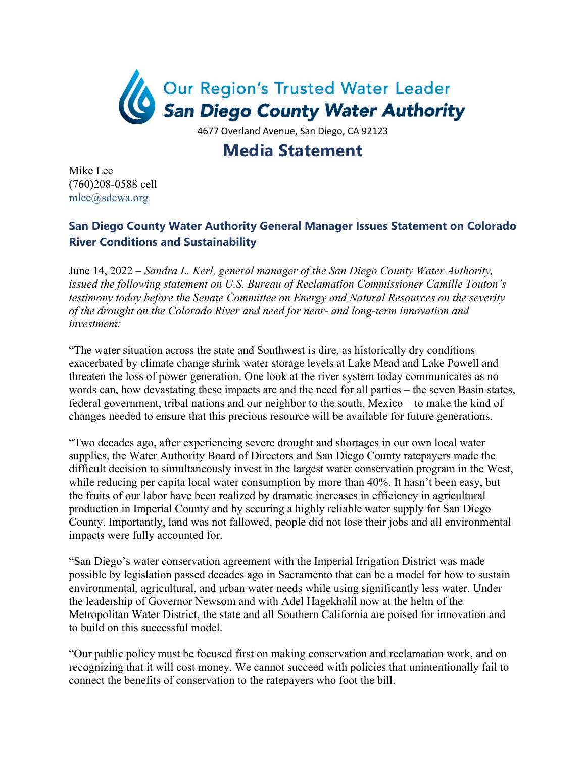

4677 Overland Avenue, San Diego, CA 92123

## **Media Statement**

Mike Lee (760)208-0588 cell [mlee@sdcwa.org](mailto:mlee@sdcwa.org)

## **San Diego County Water Authority General Manager Issues Statement on Colorado River Conditions and Sustainability**

June 14, 2022 – *Sandra L. Kerl, general manager of the San Diego County Water Authority, issued the following statement on U.S. Bureau of Reclamation Commissioner Camille Touton's testimony today before the Senate Committee on Energy and Natural Resources on the severity of the drought on the Colorado River and need for near- and long-term innovation and investment:* 

"The water situation across the state and Southwest is dire, as historically dry conditions exacerbated by climate change shrink water storage levels at Lake Mead and Lake Powell and threaten the loss of power generation. One look at the river system today communicates as no words can, how devastating these impacts are and the need for all parties – the seven Basin states, federal government, tribal nations and our neighbor to the south, Mexico – to make the kind of changes needed to ensure that this precious resource will be available for future generations.

"Two decades ago, after experiencing severe drought and shortages in our own local water supplies, the Water Authority Board of Directors and San Diego County ratepayers made the difficult decision to simultaneously invest in the largest water conservation program in the West, while reducing per capita local water consumption by more than 40%. It hasn't been easy, but the fruits of our labor have been realized by dramatic increases in efficiency in agricultural production in Imperial County and by securing a highly reliable water supply for San Diego County. Importantly, land was not fallowed, people did not lose their jobs and all environmental impacts were fully accounted for.

"San Diego's water conservation agreement with the Imperial Irrigation District was made possible by legislation passed decades ago in Sacramento that can be a model for how to sustain environmental, agricultural, and urban water needs while using significantly less water. Under the leadership of Governor Newsom and with Adel Hagekhalil now at the helm of the Metropolitan Water District, the state and all Southern California are poised for innovation and to build on this successful model.

"Our public policy must be focused first on making conservation and reclamation work, and on recognizing that it will cost money. We cannot succeed with policies that unintentionally fail to connect the benefits of conservation to the ratepayers who foot the bill.